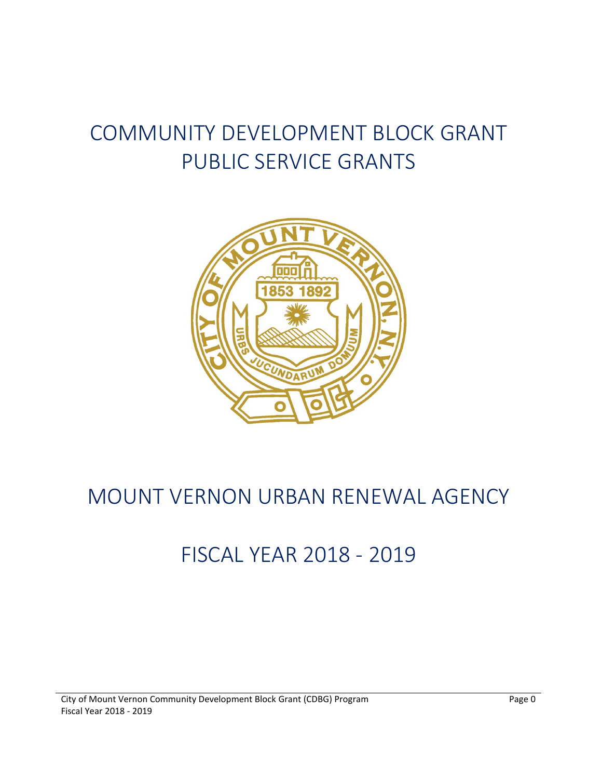# COMMUNITY DEVELOPMENT BLOCK GRANT PUBLIC SERVICE GRANTS



# MOUNT VERNON URBAN RENEWAL AGENCY

# FISCAL YEAR 2018 - 2019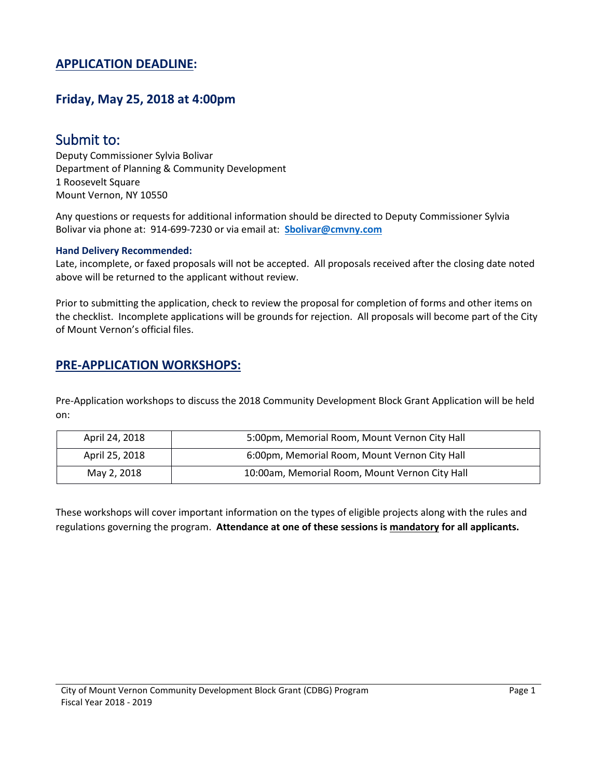### **APPLICATION DEADLINE:**

### **Friday, May 25, 2018 at 4:00pm**

### Submit to:

Deputy Commissioner Sylvia Bolivar Department of Planning & Community Development 1 Roosevelt Square Mount Vernon, NY 10550

Any questions or requests for additional information should be directed to Deputy Commissioner Sylvia Bolivar via phone at: 914-699-7230 or via email at: **[Sbolivar@cmvny.com](mailto:Sbolivar@cmvny.com)**

#### **Hand Delivery Recommended:**

Late, incomplete, or faxed proposals will not be accepted. All proposals received after the closing date noted above will be returned to the applicant without review.

Prior to submitting the application, check to review the proposal for completion of forms and other items on the checklist. Incomplete applications will be grounds for rejection. All proposals will become part of the City of Mount Vernon's official files.

### **PRE-APPLICATION WORKSHOPS:**

Pre-Application workshops to discuss the 2018 Community Development Block Grant Application will be held on:

| April 24, 2018 | 5:00pm, Memorial Room, Mount Vernon City Hall  |
|----------------|------------------------------------------------|
| April 25, 2018 | 6:00pm, Memorial Room, Mount Vernon City Hall  |
| May 2, 2018    | 10:00am, Memorial Room, Mount Vernon City Hall |

These workshops will cover important information on the types of eligible projects along with the rules and regulations governing the program. **Attendance at one of these sessions is mandatory for all applicants.**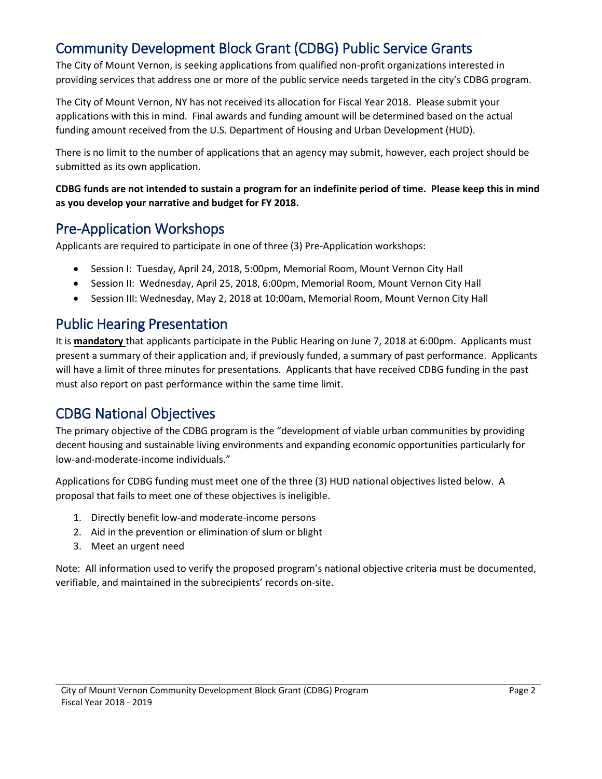### Community Development Block Grant (CDBG) Public Service Grants

The City of Mount Vernon, is seeking applications from qualified non-profit organizations interested in providing services that address one or more of the public service needs targeted in the city's CDBG program.

The City of Mount Vernon, NY has not received its allocation for Fiscal Year 2018. Please submit your applications with this in mind. Final awards and funding amount will be determined based on the actual funding amount received from the U.S. Department of Housing and Urban Development (HUD).

There is no limit to the number of applications that an agency may submit, however, each project should be submitted as its own application.

**CDBG funds are not intended to sustain a program for an indefinite period of time. Please keep this in mind as you develop your narrative and budget for FY 2018.**

### Pre-Application Workshops

Applicants are required to participate in one of three (3) Pre-Application workshops:

- Session I: Tuesday, April 24, 2018, 5:00pm, Memorial Room, Mount Vernon City Hall
- Session II: Wednesday, April 25, 2018, 6:00pm, Memorial Room, Mount Vernon City Hall
- Session III: Wednesday, May 2, 2018 at 10:00am, Memorial Room, Mount Vernon City Hall

### Public Hearing Presentation

It is **mandatory** that applicants participate in the Public Hearing on June 7, 2018 at 6:00pm. Applicants must present a summary of their application and, if previously funded, a summary of past performance. Applicants will have a limit of three minutes for presentations. Applicants that have received CDBG funding in the past must also report on past performance within the same time limit.

### CDBG National Objectives

The primary objective of the CDBG program is the "development of viable urban communities by providing decent housing and sustainable living environments and expanding economic opportunities particularly for low-and-moderate-income individuals."

Applications for CDBG funding must meet one of the three (3) HUD national objectives listed below. A proposal that fails to meet one of these objectives is ineligible.

- 1. Directly benefit low-and moderate-income persons
- 2. Aid in the prevention or elimination of slum or blight
- 3. Meet an urgent need

Note: All information used to verify the proposed program's national objective criteria must be documented, verifiable, and maintained in the subrecipients' records on-site.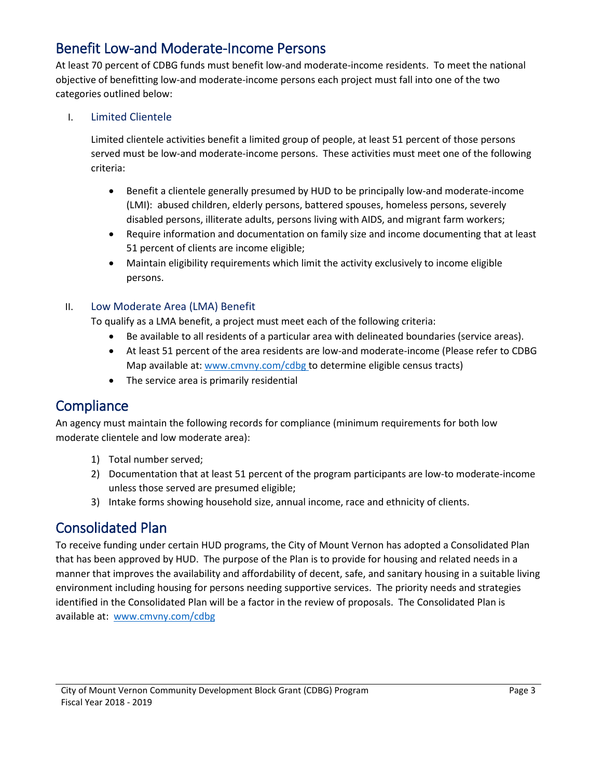### Benefit Low-and Moderate-Income Persons

At least 70 percent of CDBG funds must benefit low-and moderate-income residents. To meet the national objective of benefitting low-and moderate-income persons each project must fall into one of the two categories outlined below:

### I. Limited Clientele

Limited clientele activities benefit a limited group of people, at least 51 percent of those persons served must be low-and moderate-income persons. These activities must meet one of the following criteria:

- Benefit a clientele generally presumed by HUD to be principally low-and moderate-income (LMI): abused children, elderly persons, battered spouses, homeless persons, severely disabled persons, illiterate adults, persons living with AIDS, and migrant farm workers;
- Require information and documentation on family size and income documenting that at least 51 percent of clients are income eligible;
- Maintain eligibility requirements which limit the activity exclusively to income eligible persons.

### II. Low Moderate Area (LMA) Benefit

To qualify as a LMA benefit, a project must meet each of the following criteria:

- Be available to all residents of a particular area with delineated boundaries (service areas).
- At least 51 percent of the area residents are low-and moderate-income (Please refer to CDBG Map available at: [www.cmvny.com/cdbg](http://www.cmvny.com/cdbg) to determine eligible census tracts)
- The service area is primarily residential

### **Compliance**

An agency must maintain the following records for compliance (minimum requirements for both low moderate clientele and low moderate area):

- 1) Total number served;
- 2) Documentation that at least 51 percent of the program participants are low-to moderate-income unless those served are presumed eligible;
- 3) Intake forms showing household size, annual income, race and ethnicity of clients.

### Consolidated Plan

To receive funding under certain HUD programs, the City of Mount Vernon has adopted a Consolidated Plan that has been approved by HUD. The purpose of the Plan is to provide for housing and related needs in a manner that improves the availability and affordability of decent, safe, and sanitary housing in a suitable living environment including housing for persons needing supportive services. The priority needs and strategies identified in the Consolidated Plan will be a factor in the review of proposals. The Consolidated Plan is available at: [www.cmvny.com/cdbg](http://www.cmvny.com/cdbg)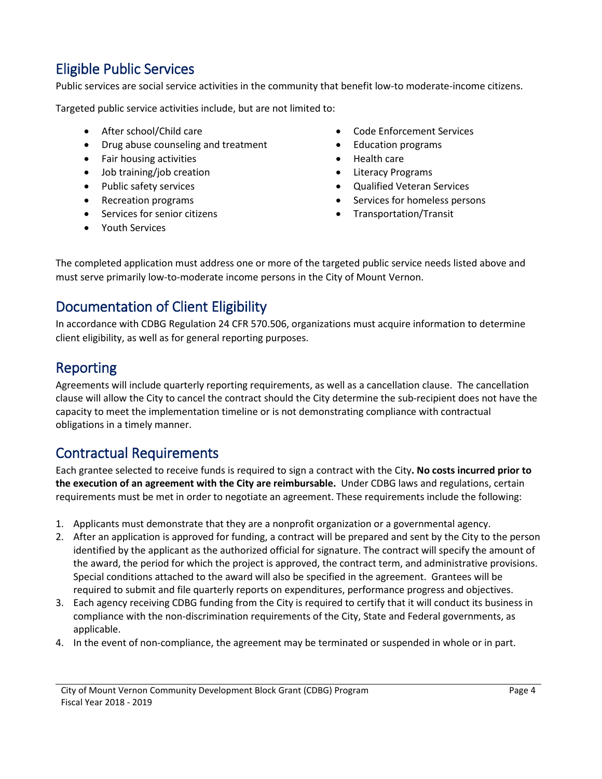### Eligible Public Services

Public services are social service activities in the community that benefit low-to moderate-income citizens.

Targeted public service activities include, but are not limited to:

- 
- Drug abuse counseling and treatment Education programs
- Fair housing activities **•** Health care
- Job training/job creation **•** Literacy Programs
- 
- 
- Services for senior citizens Transportation/Transit
- Youth Services
- After school/Child care  **Code Enforcement Services** 
	-
	-
	-
- Public safety services Qualified Veteran Services
	- Recreation programs **•** Services for homeless persons
		-

The completed application must address one or more of the targeted public service needs listed above and must serve primarily low-to-moderate income persons in the City of Mount Vernon.

# Documentation of Client Eligibility

In accordance with CDBG Regulation 24 CFR 570.506, organizations must acquire information to determine client eligibility, as well as for general reporting purposes.

### Reporting

Agreements will include quarterly reporting requirements, as well as a cancellation clause. The cancellation clause will allow the City to cancel the contract should the City determine the sub-recipient does not have the capacity to meet the implementation timeline or is not demonstrating compliance with contractual obligations in a timely manner.

### Contractual Requirements

Each grantee selected to receive funds is required to sign a contract with the City**. No costs incurred prior to the execution of an agreement with the City are reimbursable.** Under CDBG laws and regulations, certain requirements must be met in order to negotiate an agreement. These requirements include the following:

- 1. Applicants must demonstrate that they are a nonprofit organization or a governmental agency.
- 2. After an application is approved for funding, a contract will be prepared and sent by the City to the person identified by the applicant as the authorized official for signature. The contract will specify the amount of the award, the period for which the project is approved, the contract term, and administrative provisions. Special conditions attached to the award will also be specified in the agreement. Grantees will be required to submit and file quarterly reports on expenditures, performance progress and objectives.
- 3. Each agency receiving CDBG funding from the City is required to certify that it will conduct its business in compliance with the non-discrimination requirements of the City, State and Federal governments, as applicable.
- 4. In the event of non-compliance, the agreement may be terminated or suspended in whole or in part.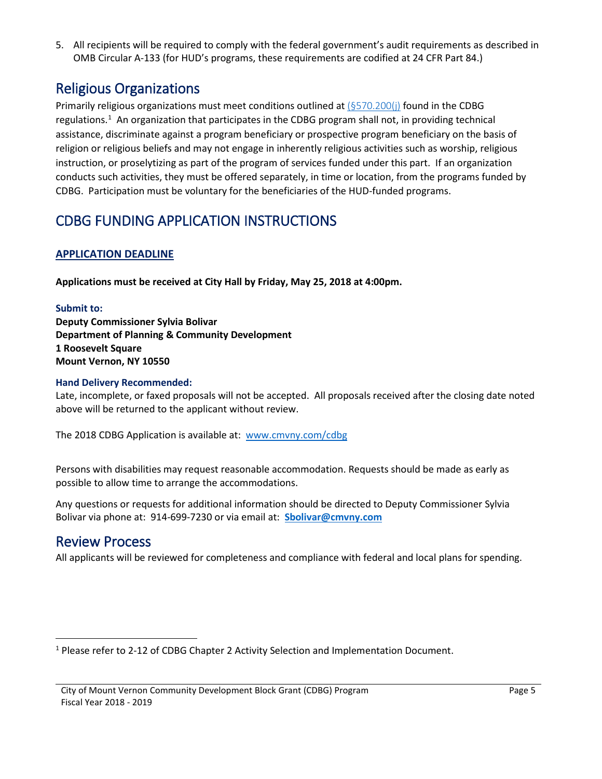5. All recipients will be required to comply with the federal government's audit requirements as described in OMB Circular A-133 (for HUD's programs, these requirements are codified at 24 CFR Part 84.)

### Religious Organizations

Primarily religious organizations must meet conditions outlined at (§570.200(j) found in the CDBG regulations.<sup>[1](#page-5-0)</sup> An organization that participates in the CDBG program shall not, in providing technical assistance, discriminate against a program beneficiary or prospective program beneficiary on the basis of religion or religious beliefs and may not engage in inherently religious activities such as worship, religious instruction, or proselytizing as part of the program of services funded under this part. If an organization conducts such activities, they must be offered separately, in time or location, from the programs funded by CDBG. Participation must be voluntary for the beneficiaries of the HUD-funded programs.

### CDBG FUNDING APPLICATION INSTRUCTIONS

### **APPLICATION DEADLINE**

**Applications must be received at City Hall by Friday, May 25, 2018 at 4:00pm.**

#### **Submit to:**

**Deputy Commissioner Sylvia Bolivar Department of Planning & Community Development 1 Roosevelt Square Mount Vernon, NY 10550**

#### **Hand Delivery Recommended:**

Late, incomplete, or faxed proposals will not be accepted. All proposals received after the closing date noted above will be returned to the applicant without review.

The 2018 CDBG Application is available at: [www.cmvny.com/cdbg](http://www.cmvny.com/cdbg)

Persons with disabilities may request reasonable accommodation. Requests should be made as early as possible to allow time to arrange the accommodations.

Any questions or requests for additional information should be directed to Deputy Commissioner Sylvia Bolivar via phone at: 914-699-7230 or via email at: **[Sbolivar@cmvny.com](mailto:Sbolivar@cmvny.com)**

### Review Process

All applicants will be reviewed for completeness and compliance with federal and local plans for spending.

<span id="page-5-0"></span><sup>&</sup>lt;sup>1</sup> Please refer to 2-12 of CDBG Chapter 2 Activity Selection and Implementation Document.

City of Mount Vernon Community Development Block Grant (CDBG) Program Fiscal Year 2018 - 2019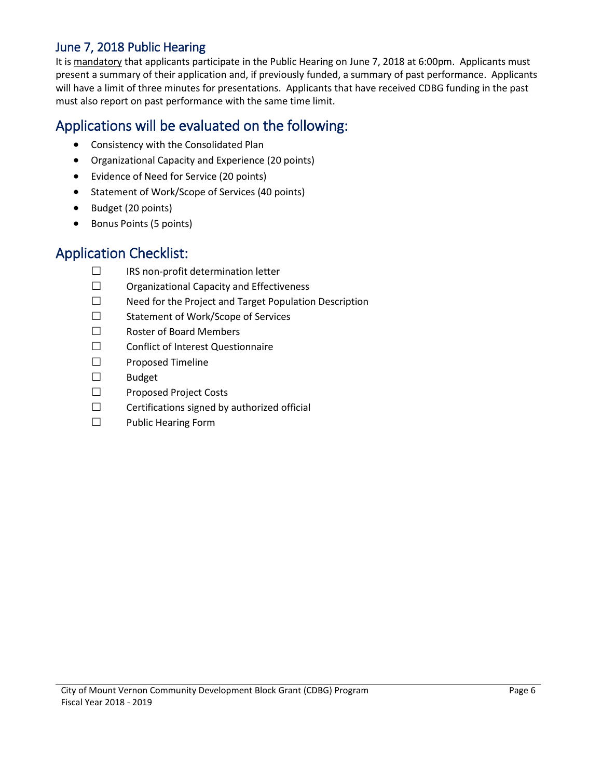### June 7, 2018 Public Hearing

It is mandatory that applicants participate in the Public Hearing on June 7, 2018 at 6:00pm. Applicants must present a summary of their application and, if previously funded, a summary of past performance. Applicants will have a limit of three minutes for presentations. Applicants that have received CDBG funding in the past must also report on past performance with the same time limit.

### Applications will be evaluated on the following:

- Consistency with the Consolidated Plan
- Organizational Capacity and Experience (20 points)
- Evidence of Need for Service (20 points)
- Statement of Work/Scope of Services (40 points)
- Budget (20 points)
- Bonus Points (5 points)

### Application Checklist:

- ☐ IRS non-profit determination letter
- ☐ Organizational Capacity and Effectiveness
- ☐ Need for the Project and Target Population Description
- ☐ Statement of Work/Scope of Services
- ☐ Roster of Board Members
- ☐ Conflict of Interest Questionnaire
- ☐ Proposed Timeline
- ☐ Budget
- ☐ Proposed Project Costs
- $\Box$  Certifications signed by authorized official
- ☐ Public Hearing Form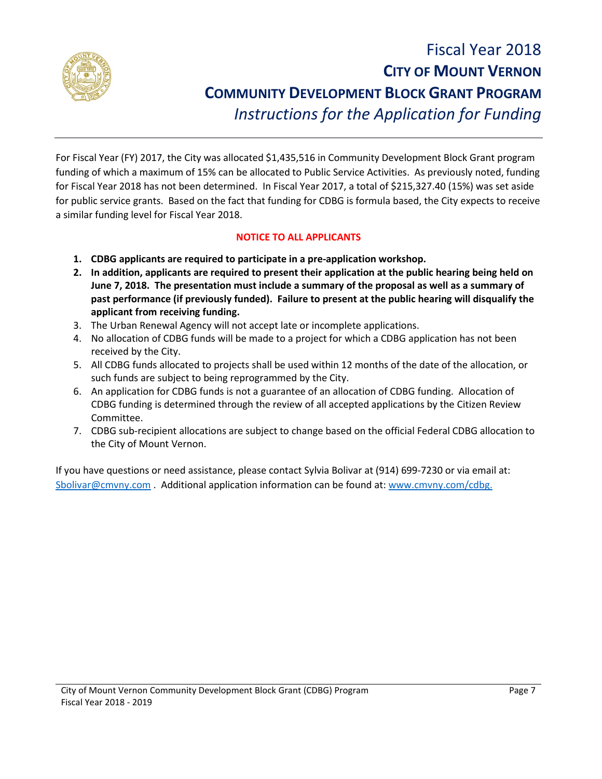

# Fiscal Year 2018 **CITY OF MOUNT VERNON COMMUNITY DEVELOPMENT BLOCK GRANT PROGRAM** *Instructions for the Application for Funding*

For Fiscal Year (FY) 2017, the City was allocated \$1,435,516 in Community Development Block Grant program funding of which a maximum of 15% can be allocated to Public Service Activities. As previously noted, funding for Fiscal Year 2018 has not been determined. In Fiscal Year 2017, a total of \$215,327.40 (15%) was set aside for public service grants. Based on the fact that funding for CDBG is formula based, the City expects to receive a similar funding level for Fiscal Year 2018.

### **NOTICE TO ALL APPLICANTS**

- **1. CDBG applicants are required to participate in a pre-application workshop.**
- **2. In addition, applicants are required to present their application at the public hearing being held on June 7, 2018. The presentation must include a summary of the proposal as well as a summary of past performance (if previously funded). Failure to present at the public hearing will disqualify the applicant from receiving funding.**
- 3. The Urban Renewal Agency will not accept late or incomplete applications.
- 4. No allocation of CDBG funds will be made to a project for which a CDBG application has not been received by the City.
- 5. All CDBG funds allocated to projects shall be used within 12 months of the date of the allocation, or such funds are subject to being reprogrammed by the City.
- 6. An application for CDBG funds is not a guarantee of an allocation of CDBG funding. Allocation of CDBG funding is determined through the review of all accepted applications by the Citizen Review Committee.
- 7. CDBG sub-recipient allocations are subject to change based on the official Federal CDBG allocation to the City of Mount Vernon.

If you have questions or need assistance, please contact Sylvia Bolivar at (914) 699-7230 or via email at: [Sbolivar@cmvny.com](mailto:Sbolivar@cmvny.com) . Additional application information can be found at: [www.cmvny.com/cdbg.](http://www.cmvny.com/cdbg)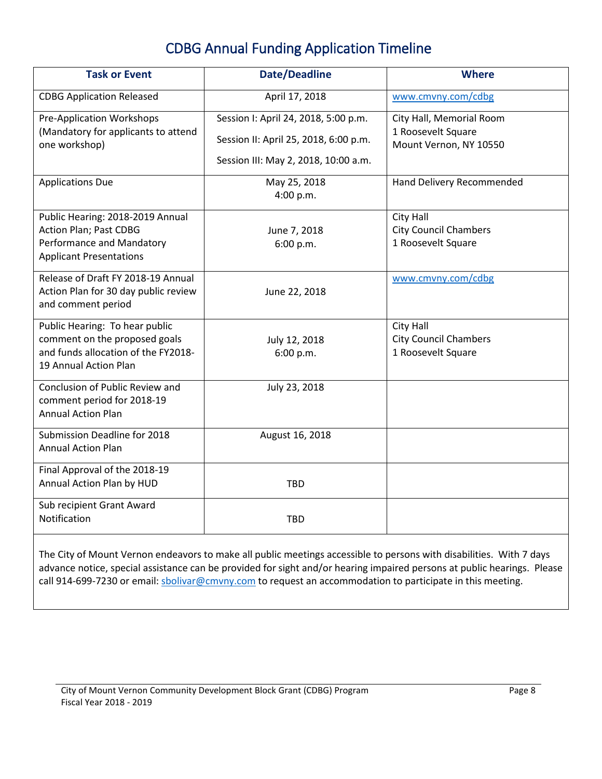# CDBG Annual Funding Application Timeline

| <b>Task or Event</b>                                                 | <b>Date/Deadline</b>                  | <b>Where</b>                                       |
|----------------------------------------------------------------------|---------------------------------------|----------------------------------------------------|
| <b>CDBG Application Released</b>                                     | April 17, 2018                        | www.cmvny.com/cdbg                                 |
| <b>Pre-Application Workshops</b>                                     | Session I: April 24, 2018, 5:00 p.m.  | City Hall, Memorial Room                           |
| (Mandatory for applicants to attend                                  | Session II: April 25, 2018, 6:00 p.m. | 1 Roosevelt Square<br>Mount Vernon, NY 10550       |
| one workshop)                                                        | Session III: May 2, 2018, 10:00 a.m.  |                                                    |
|                                                                      |                                       |                                                    |
| <b>Applications Due</b>                                              | May 25, 2018                          | Hand Delivery Recommended                          |
|                                                                      | 4:00 p.m.                             |                                                    |
| Public Hearing: 2018-2019 Annual                                     |                                       | City Hall                                          |
| <b>Action Plan; Past CDBG</b>                                        | June 7, 2018                          | <b>City Council Chambers</b>                       |
| Performance and Mandatory<br><b>Applicant Presentations</b>          | 6:00 p.m.                             | 1 Roosevelt Square                                 |
|                                                                      |                                       |                                                    |
| Release of Draft FY 2018-19 Annual                                   |                                       | www.cmvny.com/cdbg                                 |
| Action Plan for 30 day public review<br>and comment period           | June 22, 2018                         |                                                    |
|                                                                      |                                       |                                                    |
| Public Hearing: To hear public                                       |                                       | City Hall                                          |
| comment on the proposed goals<br>and funds allocation of the FY2018- | July 12, 2018                         | <b>City Council Chambers</b><br>1 Roosevelt Square |
| 19 Annual Action Plan                                                | 6:00 p.m.                             |                                                    |
|                                                                      |                                       |                                                    |
| Conclusion of Public Review and                                      | July 23, 2018                         |                                                    |
| comment period for 2018-19<br><b>Annual Action Plan</b>              |                                       |                                                    |
|                                                                      |                                       |                                                    |
| Submission Deadline for 2018<br><b>Annual Action Plan</b>            | August 16, 2018                       |                                                    |
|                                                                      |                                       |                                                    |
| Final Approval of the 2018-19                                        |                                       |                                                    |
| Annual Action Plan by HUD                                            | TBD                                   |                                                    |
| Sub recipient Grant Award                                            |                                       |                                                    |
| Notification                                                         | <b>TBD</b>                            |                                                    |
|                                                                      |                                       |                                                    |

The City of Mount Vernon endeavors to make all public meetings accessible to persons with disabilities. With 7 days advance notice, special assistance can be provided for sight and/or hearing impaired persons at public hearings. Please call 914-699-7230 or email: [sbolivar@cmvny.com](mailto:sbolivar@cmvny.com) to request an accommodation to participate in this meeting.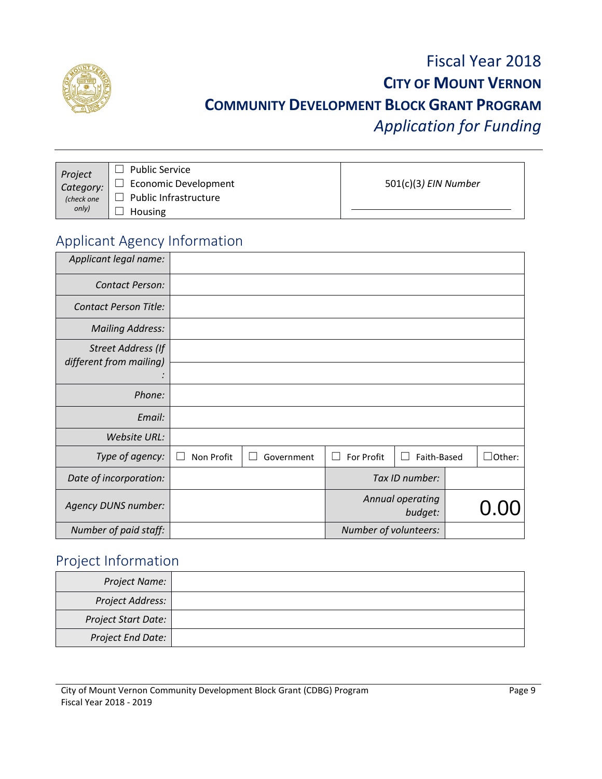

# Fiscal Year 2018 **CITY OF MOUNT VERNON COMMUNITY DEVELOPMENT BLOCK GRANT PROGRAM** *Application for Funding*

| <b>Public Service</b><br>Project<br><b>Economic Development</b><br>Category:<br>Public Infrastructure<br>(check one<br>only)<br><b>Housing</b> | $501(c)(3)$ EIN Number |
|------------------------------------------------------------------------------------------------------------------------------------------------|------------------------|
|------------------------------------------------------------------------------------------------------------------------------------------------|------------------------|

## Applicant Agency Information

| Applicant legal name:     |            |                 |                       |                             |               |
|---------------------------|------------|-----------------|-----------------------|-----------------------------|---------------|
| <b>Contact Person:</b>    |            |                 |                       |                             |               |
| Contact Person Title:     |            |                 |                       |                             |               |
| <b>Mailing Address:</b>   |            |                 |                       |                             |               |
| <b>Street Address (If</b> |            |                 |                       |                             |               |
| different from mailing)   |            |                 |                       |                             |               |
| Phone:                    |            |                 |                       |                             |               |
| Email:                    |            |                 |                       |                             |               |
| <b>Website URL:</b>       |            |                 |                       |                             |               |
| Type of agency:           | Non Profit | Government<br>L | For Profit            | Faith-Based                 | $\Box$ Other: |
| Date of incorporation:    |            |                 |                       | Tax ID number:              |               |
| Agency DUNS number:       |            |                 |                       | Annual operating<br>budget: |               |
| Number of paid staff:     |            |                 | Number of volunteers: |                             |               |

### Project Information

| <b>Project Name:</b>     |  |
|--------------------------|--|
| Project Address:         |  |
| Project Start Date:      |  |
| <b>Project End Date:</b> |  |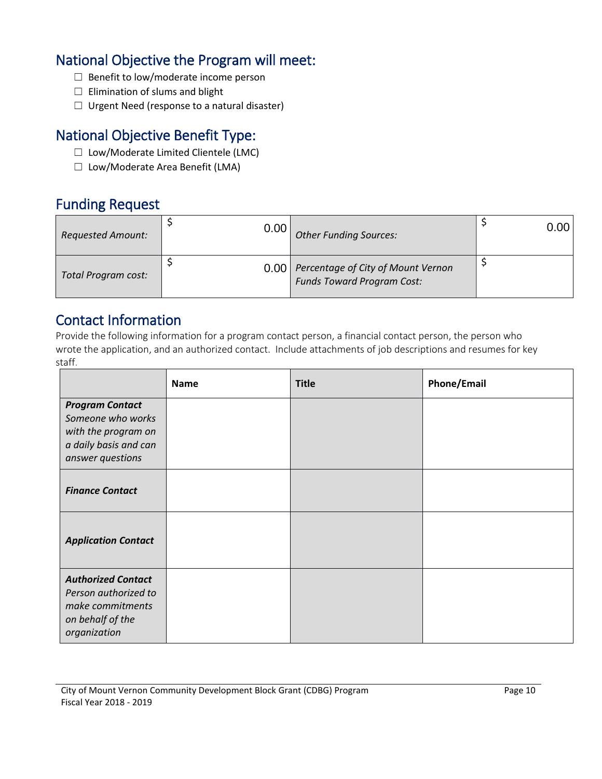### National Objective the Program will meet:

- ☐ Benefit to low/moderate income person
- $\Box$  Elimination of slums and blight
- $\Box$  Urgent Need (response to a natural disaster)

### National Objective Benefit Type:

- ☐ Low/Moderate Limited Clientele (LMC)
- ☐ Low/Moderate Area Benefit (LMA)

### Funding Request

| <b>Requested Amount:</b> | 0.00 | <b>Other Funding Sources:</b>                                           | 0.00 |
|--------------------------|------|-------------------------------------------------------------------------|------|
| Total Program cost:      | 0.00 | Percentage of City of Mount Vernon<br><b>Funds Toward Program Cost:</b> |      |

**Contact Information**<br>Provide the following information for a program contact person, a financial contact person, the person who wrote the application, and an authorized contact. Include attachments of job descriptions and resumes for key staff.

|                                                                                                                 | <b>Name</b> | <b>Title</b> | Phone/Email |
|-----------------------------------------------------------------------------------------------------------------|-------------|--------------|-------------|
| <b>Program Contact</b><br>Someone who works<br>with the program on<br>a daily basis and can<br>answer questions |             |              |             |
| <b>Finance Contact</b>                                                                                          |             |              |             |
| <b>Application Contact</b>                                                                                      |             |              |             |
| <b>Authorized Contact</b><br>Person authorized to<br>make commitments<br>on behalf of the<br>organization       |             |              |             |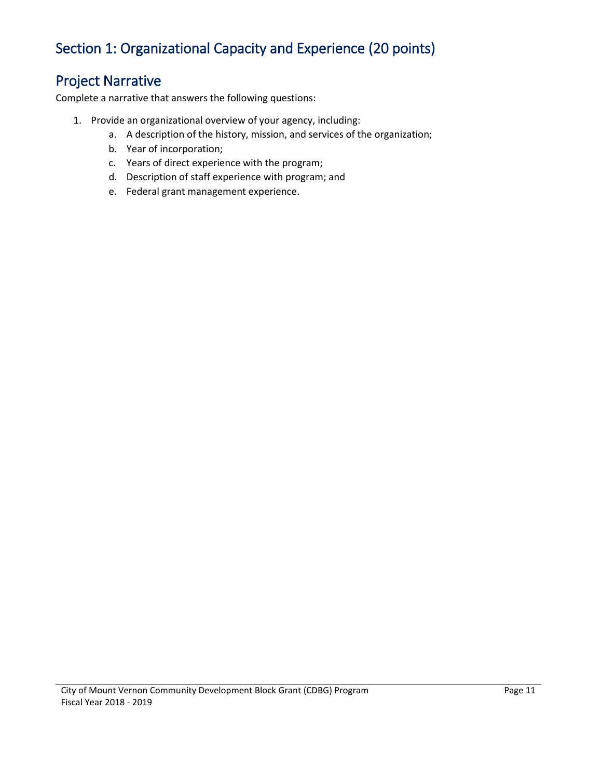# Section 1: Organizational Capacity and Experience (20 points)

### Project Narrative

Complete a narrative that answers the following questions:

- 1. Provide an organizational overview of your agency, including:
	- a. A description of the history, mission, and services of the organization;
	- b. Year of incorporation;
	- c. Years of direct experience with the program;
	- d. Description of staff experience with program; and
	- e. Federal grant management experience.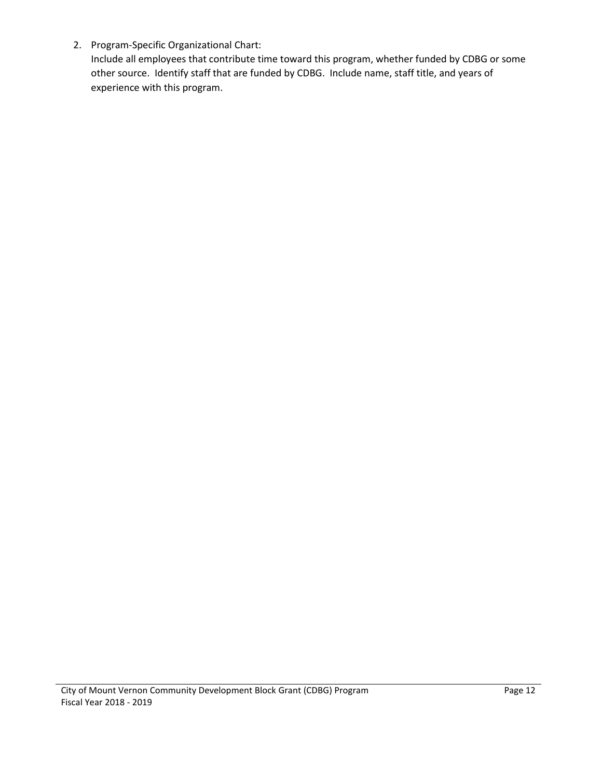2. Program-Specific Organizational Chart:

Include all employees that contribute time toward this program, whether funded by CDBG or some other source. Identify staff that are funded by CDBG. Include name, staff title, and years of experience with this program.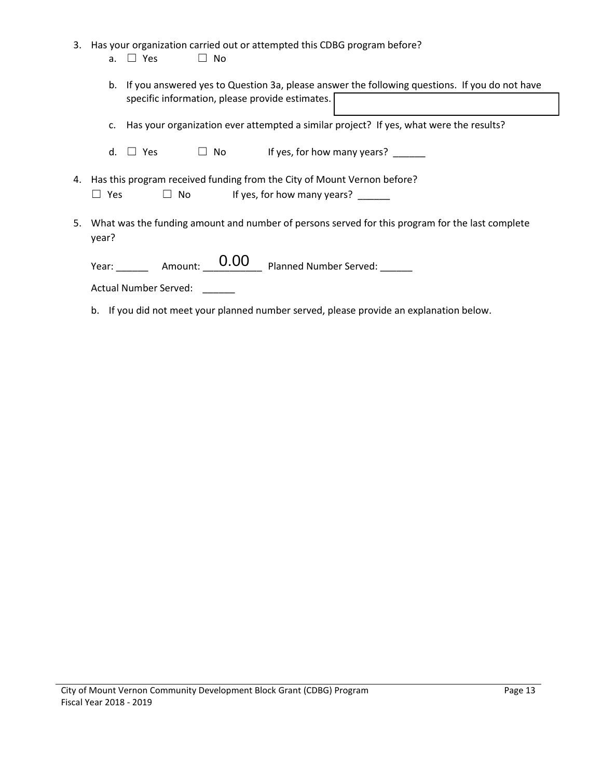- 3. Has your organization carried out or attempted this CDBG program before?
	- a. □ Yes □ No
	- b. If you answered yes to Question 3a, please answer the following questions. If you do not have specific information, please provide estimates.
	- c. Has your organization ever attempted a similar project? If yes, what were the results?
	- d.  $\Box$  Yes  $\Box$  No If yes, for how many years? \_\_\_\_\_\_
- 4. Has this program received funding from the City of Mount Vernon before?  $\Box$  Yes  $\Box$  No If yes, for how many years? \_\_\_\_\_\_
- 5. What was the funding amount and number of persons served for this program for the last complete year?

Year: \_\_\_\_\_\_ Amount: \_\_\_\_\_\_\_\_\_\_\_ Planned Number Served: \_\_\_\_\_\_ 0.00

Actual Number Served:

b. If you did not meet your planned number served, please provide an explanation below.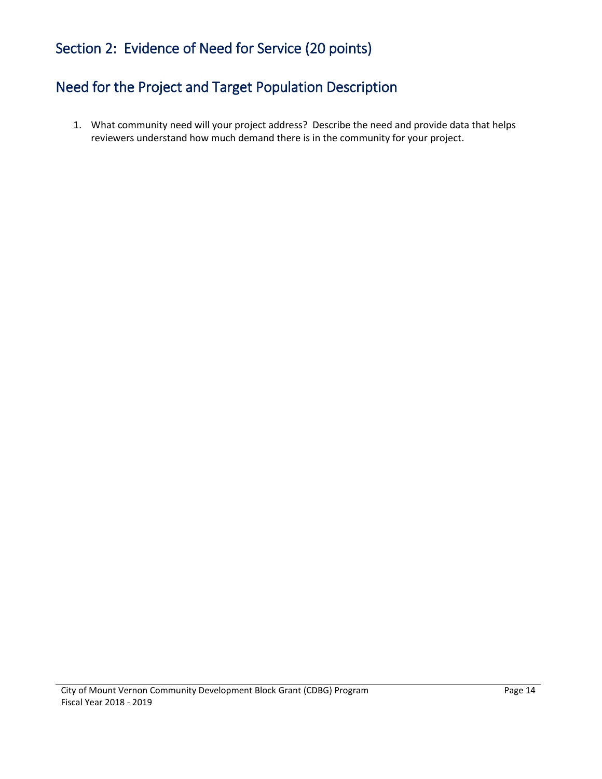# Section 2: Evidence of Need for Service (20 points)

### Need for the Project and Target Population Description

1. What community need will your project address? Describe the need and provide data that helps reviewers understand how much demand there is in the community for your project.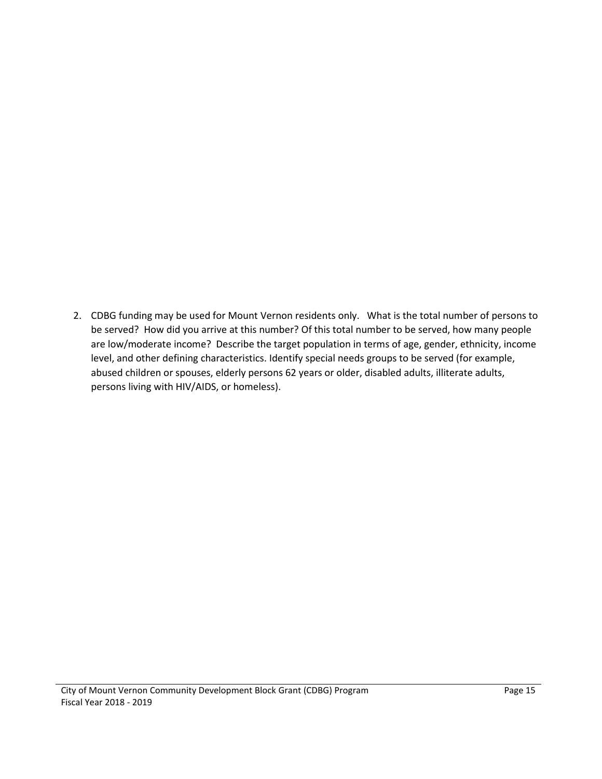2. CDBG funding may be used for Mount Vernon residents only. What is the total number of persons to be served? How did you arrive at this number? Of this total number to be served, how many people are low/moderate income? Describe the target population in terms of age, gender, ethnicity, income level, and other defining characteristics. Identify special needs groups to be served (for example, abused children or spouses, elderly persons 62 years or older, disabled adults, illiterate adults, persons living with HIV/AIDS, or homeless).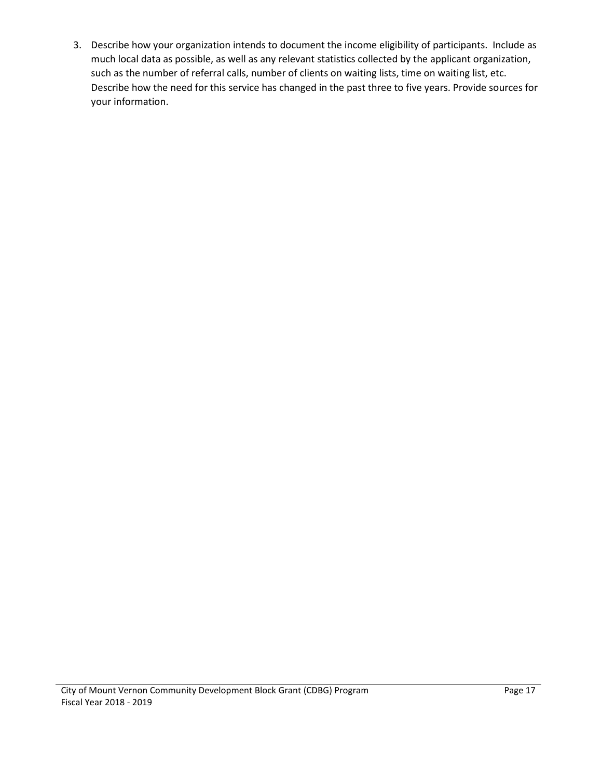3. Describe how your organization intends to document the income eligibility of participants. Include as much local data as possible, as well as any relevant statistics collected by the applicant organization, such as the number of referral calls, number of clients on waiting lists, time on waiting list, etc. Describe how the need for this service has changed in the past three to five years. Provide sources for your information.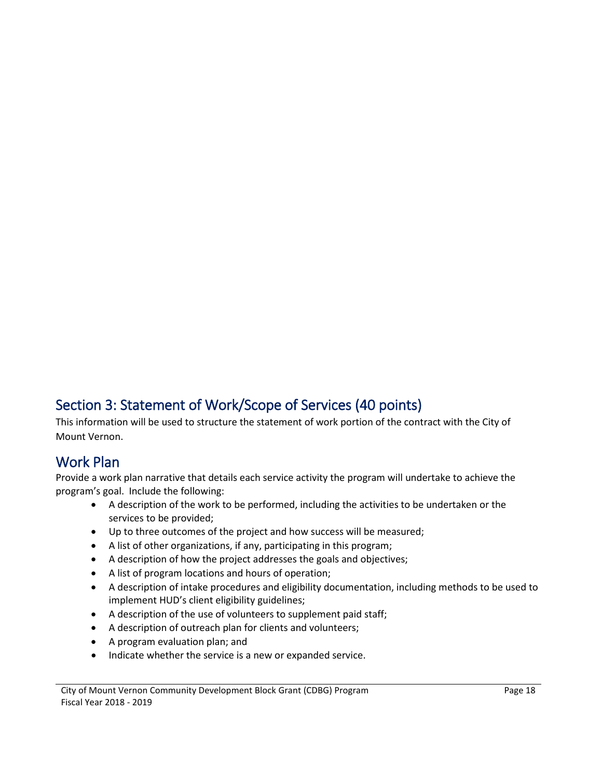# Section 3: Statement of Work/Scope of Services (40 points)

This information will be used to structure the statement of work portion of the contract with the City of Mount Vernon.

### Work Plan

Provide a work plan narrative that details each service activity the program will undertake to achieve the program's goal. Include the following:

- A description of the work to be performed, including the activities to be undertaken or the services to be provided;
- Up to three outcomes of the project and how success will be measured;
- A list of other organizations, if any, participating in this program;
- A description of how the project addresses the goals and objectives;
- A list of program locations and hours of operation;
- A description of intake procedures and eligibility documentation, including methods to be used to implement HUD's client eligibility guidelines;
- A description of the use of volunteers to supplement paid staff;
- A description of outreach plan for clients and volunteers;
- A program evaluation plan; and
- Indicate whether the service is a new or expanded service.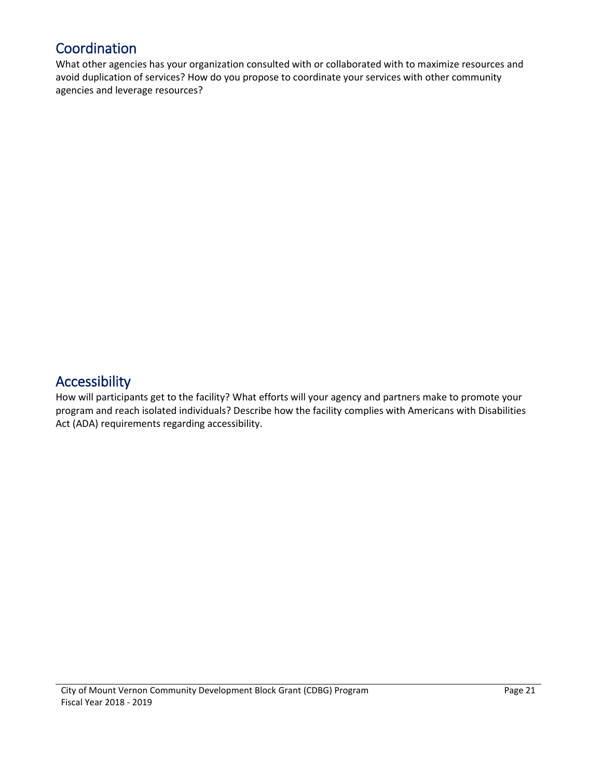### Coordination

What other agencies has your organization consulted with or collaborated with to maximize resources and avoid duplication of services? How do you propose to coordinate your services with other community agencies and leverage resources?

### Accessibility

How will participants get to the facility? What efforts will your agency and partners make to promote your program and reach isolated individuals? Describe how the facility complies with Americans with Disabilities Act (ADA) requirements regarding accessibility.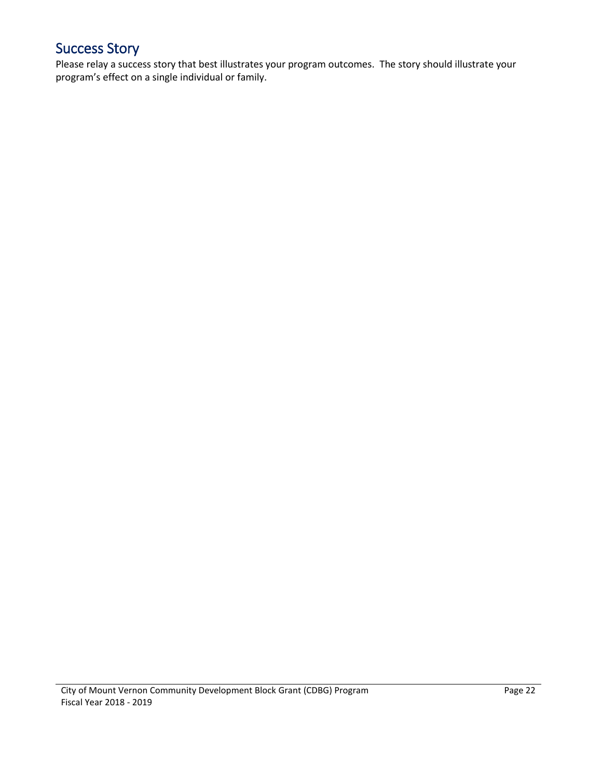# Success Story

Please relay a success story that best illustrates your program outcomes. The story should illustrate your program's effect on a single individual or family.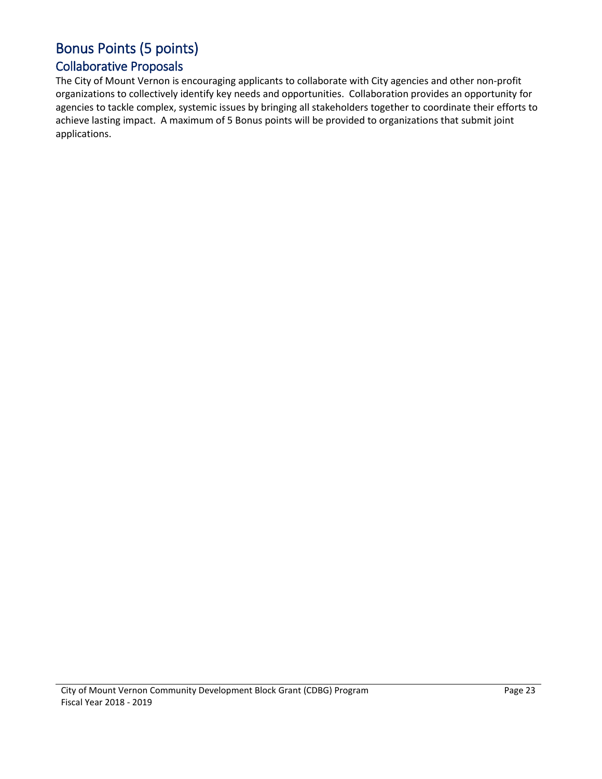# Bonus Points (5 points)

### Collaborative Proposals

The City of Mount Vernon is encouraging applicants to collaborate with City agencies and other non-profit organizations to collectively identify key needs and opportunities. Collaboration provides an opportunity for agencies to tackle complex, systemic issues by bringing all stakeholders together to coordinate their efforts to achieve lasting impact. A maximum of 5 Bonus points will be provided to organizations that submit joint applications.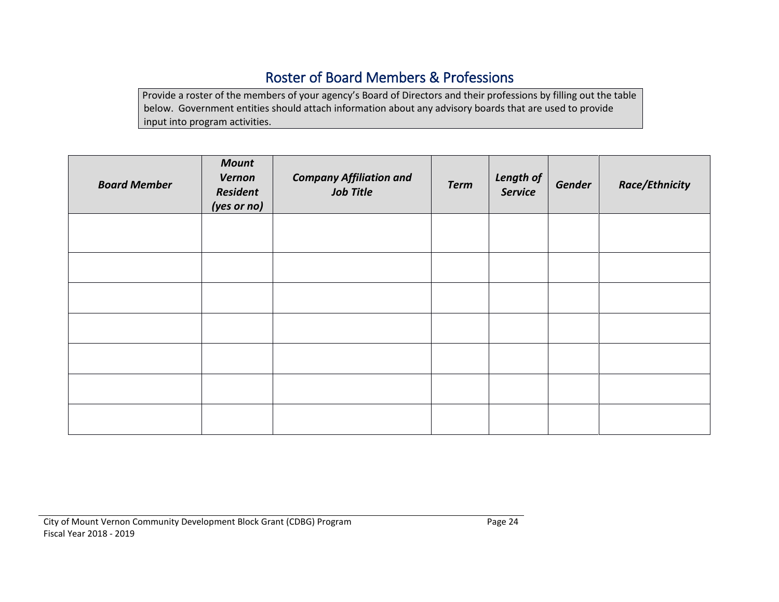### Roster of Board Members & Professions

Provide a roster of the members of your agency's Board of Directors and their professions by filling out the table below. Government entities should attach information about any advisory boards that are used to provide input into program activities.

| <b>Board Member</b> | <b>Mount</b><br>Vernon<br><b>Resident</b><br>(yes or no) | <b>Company Affiliation and</b><br><b>Job Title</b> | <b>Term</b> | Length of | Gender | <b>Race/Ethnicity</b> |
|---------------------|----------------------------------------------------------|----------------------------------------------------|-------------|-----------|--------|-----------------------|
|                     |                                                          |                                                    |             |           |        |                       |
|                     |                                                          |                                                    |             |           |        |                       |
|                     |                                                          |                                                    |             |           |        |                       |
|                     |                                                          |                                                    |             |           |        |                       |
|                     |                                                          |                                                    |             |           |        |                       |
|                     |                                                          |                                                    |             |           |        |                       |
|                     |                                                          |                                                    |             |           |        |                       |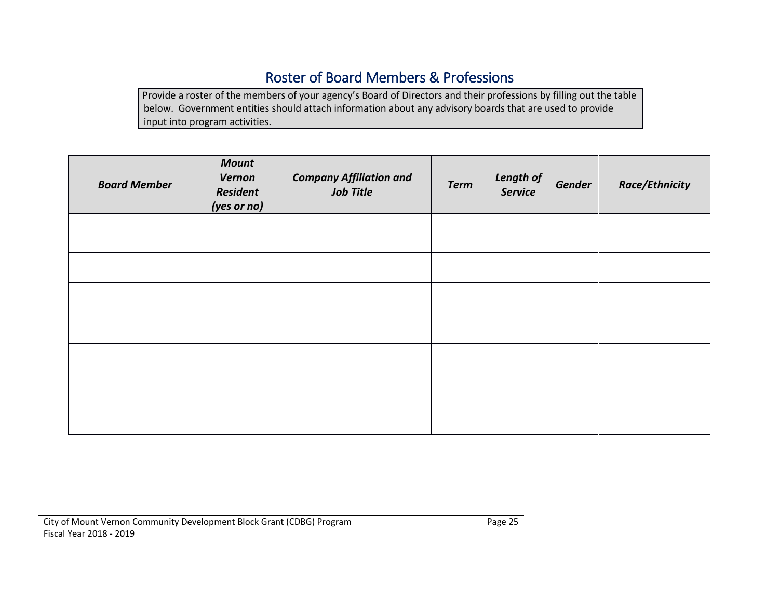### Roster of Board Members & Professions

Provide a roster of the members of your agency's Board of Directors and their professions by filling out the table below. Government entities should attach information about any advisory boards that are used to provide input into program activities.

| <b>Board Member</b> | <b>Mount</b><br>Vernon<br><b>Resident</b><br>(yes or no) | <b>Company Affiliation and</b><br><b>Job Title</b> | <b>Term</b> | Length of<br>Service | Gender | <b>Race/Ethnicity</b> |
|---------------------|----------------------------------------------------------|----------------------------------------------------|-------------|----------------------|--------|-----------------------|
|                     |                                                          |                                                    |             |                      |        |                       |
|                     |                                                          |                                                    |             |                      |        |                       |
|                     |                                                          |                                                    |             |                      |        |                       |
|                     |                                                          |                                                    |             |                      |        |                       |
|                     |                                                          |                                                    |             |                      |        |                       |
|                     |                                                          |                                                    |             |                      |        |                       |
|                     |                                                          |                                                    |             |                      |        |                       |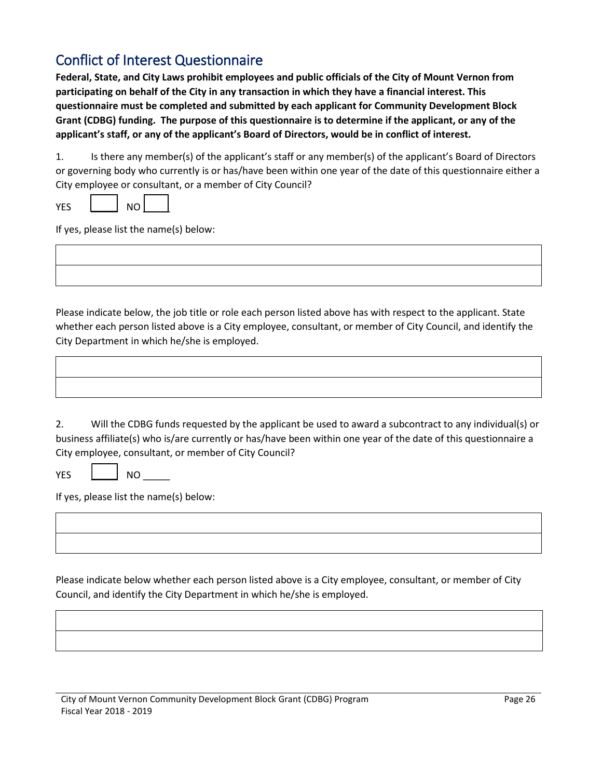### Conflict of Interest Questionnaire

**Federal, State, and City Laws prohibit employees and public officials of the City of Mount Vernon from participating on behalf of the City in any transaction in which they have a financial interest. This questionnaire must be completed and submitted by each applicant for Community Development Block Grant (CDBG) funding. The purpose of this questionnaire is to determine if the applicant, or any of the applicant's staff, or any of the applicant's Board of Directors, would be in conflict of interest.**

1. Is there any member(s) of the applicant's staff or any member(s) of the applicant's Board of Directors or governing body who currently is or has/have been within one year of the date of this questionnaire either a City employee or consultant, or a member of City Council?

|  | $\cdot$ . $-$ |  |
|--|---------------|--|
|--|---------------|--|

If yes, please list the name(s) below:

Please indicate below, the job title or role each person listed above has with respect to the applicant. State whether each person listed above is a City employee, consultant, or member of City Council, and identify the City Department in which he/she is employed.

2. Will the CDBG funds requested by the applicant be used to award a subcontract to any individual(s) or business affiliate(s) who is/are currently or has/have been within one year of the date of this questionnaire a City employee, consultant, or member of City Council?

YES  $\Box$  NO  $\Box$ 

If yes, please list the name(s) below:

Please indicate below whether each person listed above is a City employee, consultant, or member of City Council, and identify the City Department in which he/she is employed.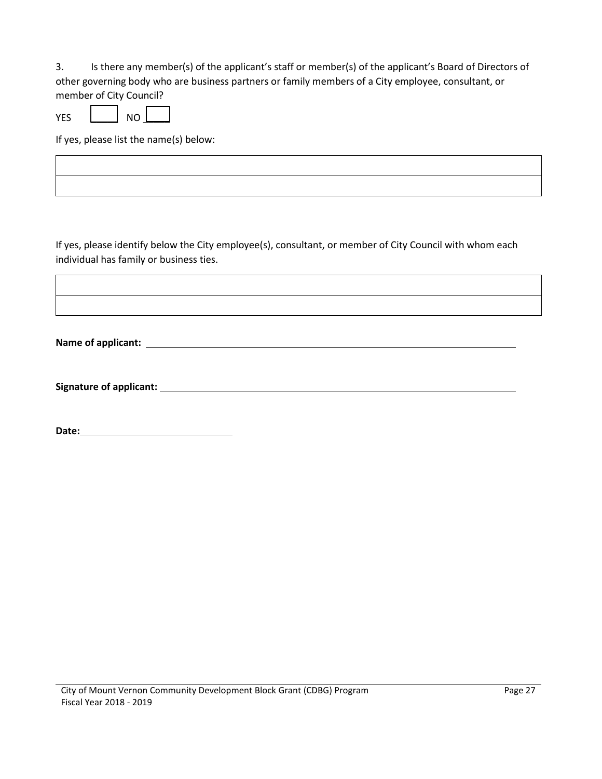3. Is there any member(s) of the applicant's staff or member(s) of the applicant's Board of Directors of other governing body who are business partners or family members of a City employee, consultant, or member of City Council?

 $YES$   $\parallel$   $NO$   $\parallel$ 

If yes, please list the name(s) below:

If yes, please identify below the City employee(s), consultant, or member of City Council with whom each individual has family or business ties.

**Name of applicant:** 

**Signature of applicant:** 

**Date:**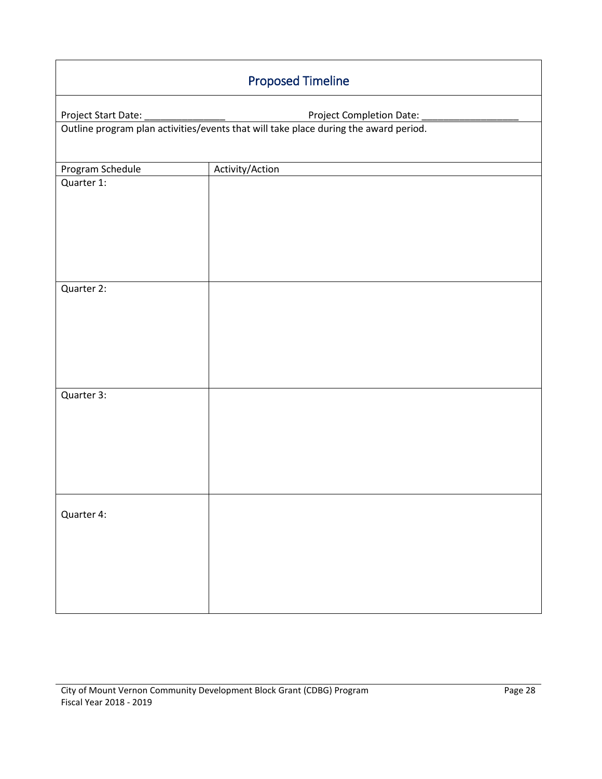| <b>Proposed Timeline</b> |                          |  |  |
|--------------------------|--------------------------|--|--|
| Project Start Date:      | Project Completion Date: |  |  |
|                          |                          |  |  |
| Program Schedule         | Activity/Action          |  |  |
| Quarter 1:               |                          |  |  |
| Quarter 2:               |                          |  |  |
| Quarter 3:               |                          |  |  |
|                          |                          |  |  |
| Quarter 4:               |                          |  |  |
|                          |                          |  |  |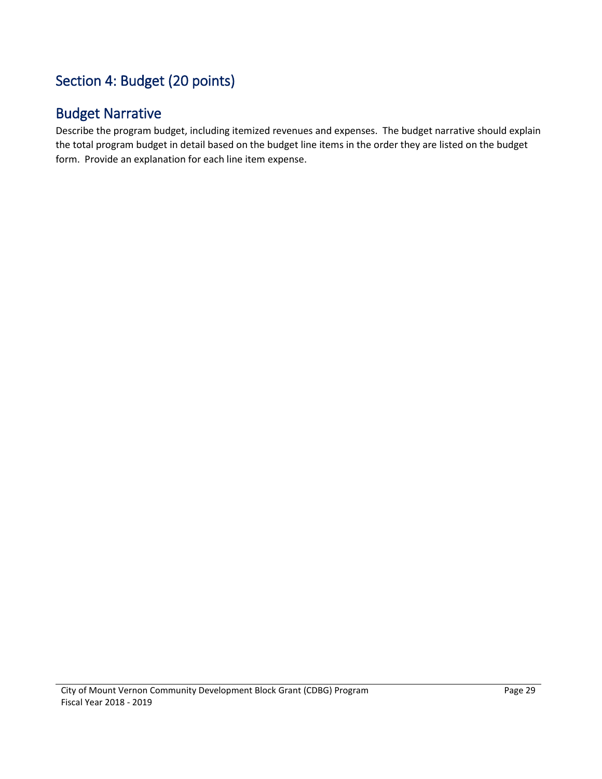# Section 4: Budget (20 points)

### Budget Narrative

Describe the program budget, including itemized revenues and expenses. The budget narrative should explain the total program budget in detail based on the budget line items in the order they are listed on the budget form. Provide an explanation for each line item expense.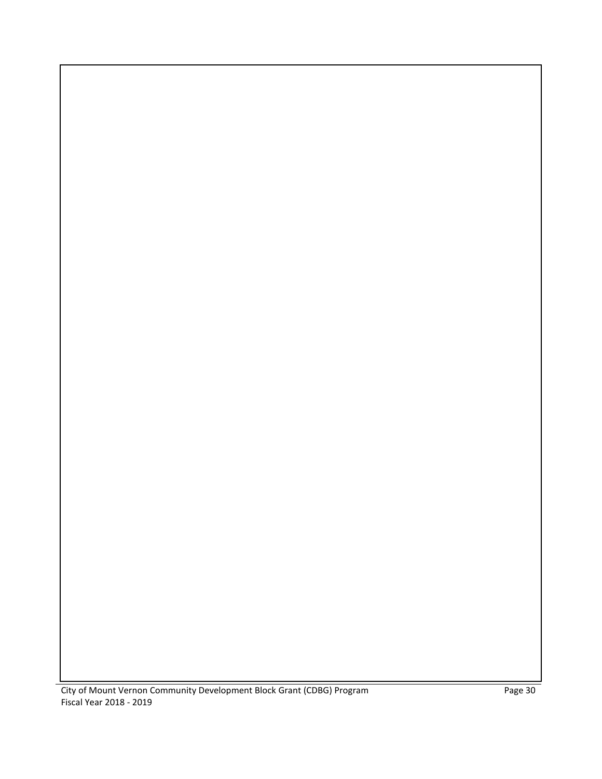City of Mount Vernon Community Development Block Grant (CDBG) Program Fiscal Year 2018 - 2019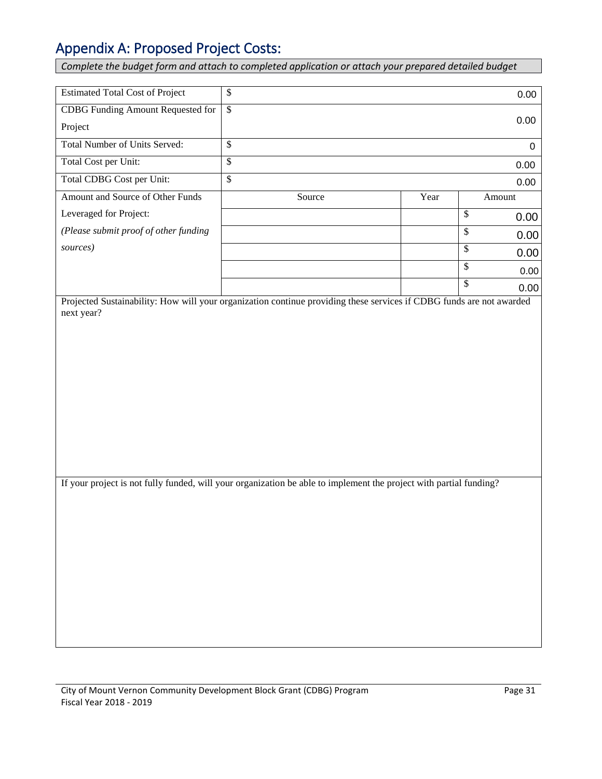### Appendix A: Proposed Project Costs:

*Complete the budget form and attach to completed application or attach your prepared detailed budget* 

| <b>Estimated Total Cost of Project</b> | \$            |        |      | 0.00       |
|----------------------------------------|---------------|--------|------|------------|
| CDBG Funding Amount Requested for      | $\mathbb{S}$  |        |      | 0.00       |
| Project                                |               |        |      |            |
| <b>Total Number of Units Served:</b>   | $\mathcal{S}$ |        |      | $\Omega$   |
| Total Cost per Unit:                   | \$            |        |      | 0.00       |
| Total CDBG Cost per Unit:              | $\mathcal{S}$ |        |      | 0.00       |
| Amount and Source of Other Funds       |               | Source | Year | Amount     |
| Leveraged for Project:                 |               |        |      | \$<br>0.00 |
| (Please submit proof of other funding  |               |        |      | \$<br>0.00 |
| sources)                               |               |        |      | \$<br>0.00 |
|                                        |               |        |      | \$<br>0.00 |
|                                        |               |        |      | \$<br>0.00 |

Projected Sustainability: How will your organization continue providing these services if CDBG funds are not awarded next year?

If your project is not fully funded, will your organization be able to implement the project with partial funding?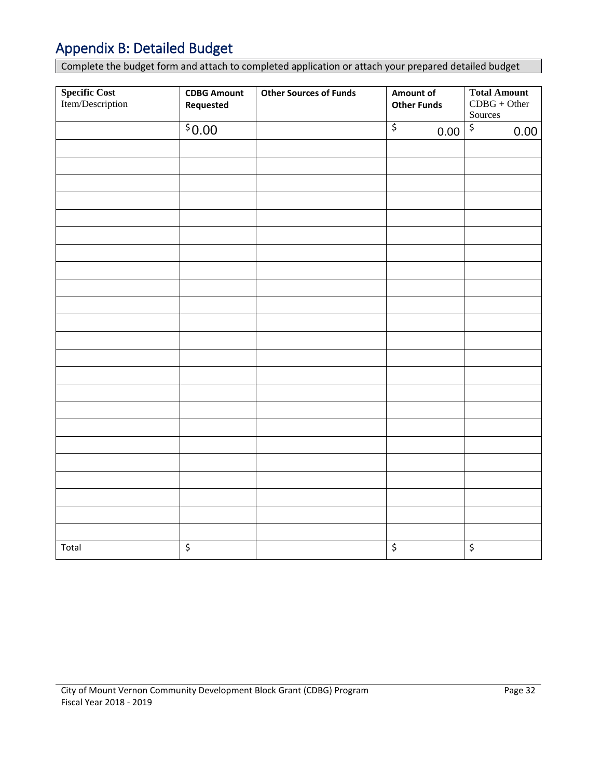## Appendix B: Detailed Budget

Complete the budget form and attach to completed application or attach your prepared detailed budget

| Specific Cost<br>Item/Description | <b>CDBG Amount</b><br>Requested | <b>Other Sources of Funds</b> | Amount of<br><b>Other Funds</b>             | <b>Total Amount</b><br>$CDBG + Other$<br>Sources |
|-----------------------------------|---------------------------------|-------------------------------|---------------------------------------------|--------------------------------------------------|
|                                   | \$0.00                          |                               | $\overline{\boldsymbol{\varsigma}}$<br>0.00 | $\zeta$<br>0.00                                  |
|                                   |                                 |                               |                                             |                                                  |
|                                   |                                 |                               |                                             |                                                  |
|                                   |                                 |                               |                                             |                                                  |
|                                   |                                 |                               |                                             |                                                  |
|                                   |                                 |                               |                                             |                                                  |
|                                   |                                 |                               |                                             |                                                  |
|                                   |                                 |                               |                                             |                                                  |
|                                   |                                 |                               |                                             |                                                  |
|                                   |                                 |                               |                                             |                                                  |
|                                   |                                 |                               |                                             |                                                  |
|                                   |                                 |                               |                                             |                                                  |
|                                   |                                 |                               |                                             |                                                  |
|                                   |                                 |                               |                                             |                                                  |
|                                   |                                 |                               |                                             |                                                  |
|                                   |                                 |                               |                                             |                                                  |
|                                   |                                 |                               |                                             |                                                  |
|                                   |                                 |                               |                                             |                                                  |
|                                   |                                 |                               |                                             |                                                  |
|                                   |                                 |                               |                                             |                                                  |
|                                   |                                 |                               |                                             |                                                  |
|                                   |                                 |                               |                                             |                                                  |
|                                   |                                 |                               |                                             |                                                  |
|                                   |                                 |                               |                                             |                                                  |
|                                   |                                 |                               |                                             |                                                  |
| Total                             | $\overline{\boldsymbol{\zeta}}$ |                               | $\overline{\mathcal{L}}$                    | $\boldsymbol{\zeta}$                             |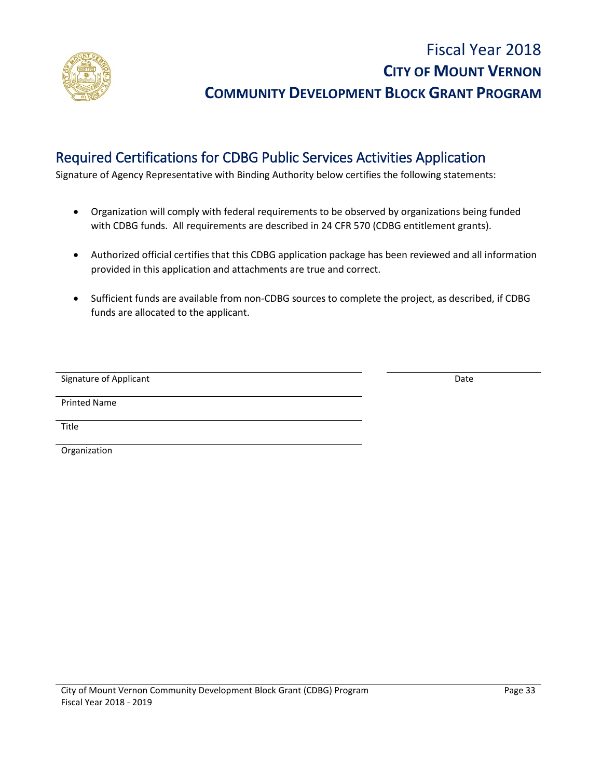

# Fiscal Year 2018 **CITY OF MOUNT VERNON COMMUNITY DEVELOPMENT BLOCK GRANT PROGRAM**

### Required Certifications for CDBG Public Services Activities Application

Signature of Agency Representative with Binding Authority below certifies the following statements:

- Organization will comply with federal requirements to be observed by organizations being funded with CDBG funds. All requirements are described in 24 CFR 570 (CDBG entitlement grants).
- Authorized official certifies that this CDBG application package has been reviewed and all information provided in this application and attachments are true and correct.
- Sufficient funds are available from non-CDBG sources to complete the project, as described, if CDBG funds are allocated to the applicant.

| Signature of Applicant | Date |
|------------------------|------|
|                        |      |

Printed Name

Title

Organization